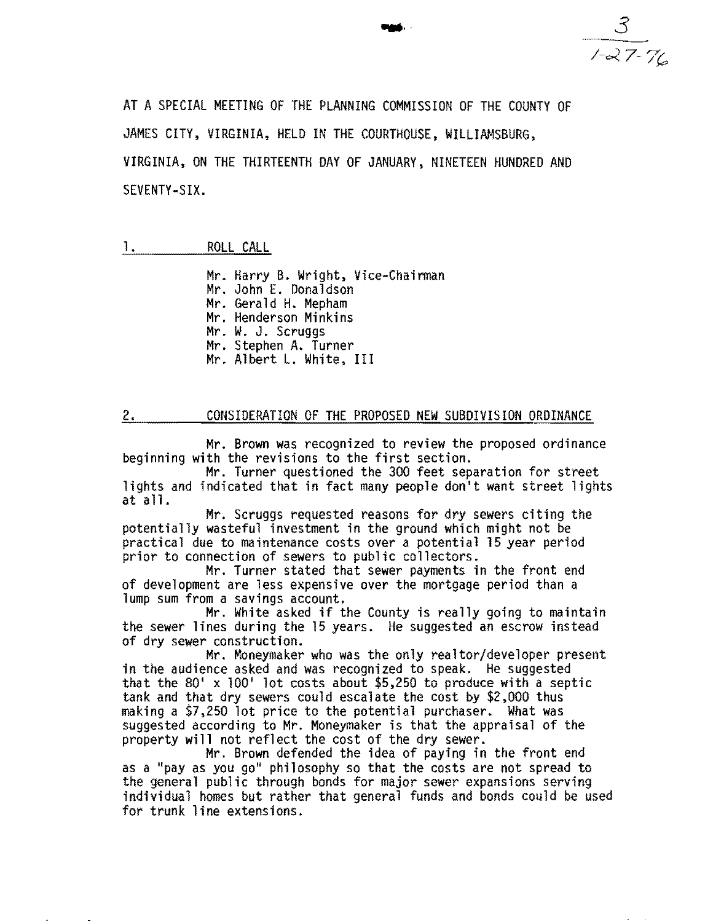**....** 3 */-0<.7-7"* 

AT A SPECIAL MEETING OF THE PLANNING COMMISSION OF THE COUNTY OF JAMES CITY, VIRGINIA, HELD IN THE COURTHOUSE, WILLIAMSBURG, VIRGINIA, ON THE THIRTEENTH DAY OF JANUARY, NINETEEN HUNDRED AND SEVENTY-SIX.

## 1. ROLL CALL

Mr. Harry B. Wright, Vice-Chairman Mr. John E. Donaldson Mr. Gerald H. Mepham Mr. Henderson Minkins Mr. W. J. Scruggs Mr. Stephen A. Turner Mr. Albert L. White, III

## 2. COUSIDERATION OF THE PROPOSED NEW SUBDIVISION ORDINANCE

Mr. Brown was recognized to review the proposed ordinance beginning with the revisions to the first section.

Mr. Turner questioned the 300 feet separation for street lights and indicated that in fact many people don't want street lights at a11.

Mr. Scruggs requested reasons for dry sewers citing the potentially wasteful investment in the ground which might not be practical due to maintenance costs over a potential 15 year period prior to connection of sewers to public collectors.

Mr. Turner stated that sewer payments in the front end of development are less expensive over the mortgage period than a lump sum from a savings account.

Mr. White asked if the County is really going to maintain the sewer lines during the 15 years. He suggested an escrow instead of dry sewer construction.<br>Mr. Moneymaker who was the only realtor/developer present

in the audience asked and was recognized to speak. He suggested<br>that the 80' x 100' lot costs about \$5,250 to produce with a septic<br>tank and that dry sewers could escalate the cost by \$2,000 thus making a \$7,250 lot price to the potential purchaser. What was suggested according to Mr. Moneymaker is that the appraisal of the property will not reflect the cost of the dry sewer.

Mr. Brown defended the idea of paying in the front end as a "pay as you go" philosophy so that the costs are not spread to the general public through bonds for major sewer expansions serving individual homes but rather that general funds and bonds could be used for trunk line extensions.